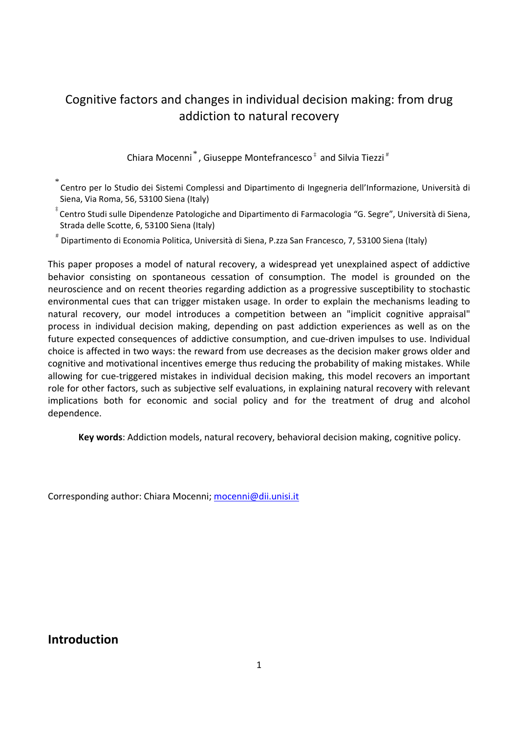# Cognitive factors and changes in individual decision making: from drug addiction to natural recovery

Chiara Mocenni<sup>\*</sup>, Giuseppe Montefrancesco<sup> $\ddagger$ </sup> and Silvia Tiezzi<sup>#</sup>

\* Centro per lo Studio dei Sistemi Complessi and Dipartimento di Ingegneria dell'Informazione, Università di Siena, Via Roma, 56, 53100 Siena (Italy)

‡ Centro Studi sulle Dipendenze Patologiche and Dipartimento di Farmacologia "G. Segre", Università di Siena, Strada delle Scotte, 6, 53100 Siena (Italy)

# Dipartimento di Economia Politica, Università di Siena, P.zza San Francesco, 7, 53100 Siena (Italy)

This paper proposes a model of natural recovery, a widespread yet unexplained aspect of addictive behavior consisting on spontaneous cessation of consumption. The model is grounded on the neuroscience and on recent theories regarding addiction as a progressive susceptibility to stochastic environmental cues that can trigger mistaken usage. In order to explain the mechanisms leading to natural recovery, our model introduces a competition between an "implicit cognitive appraisal" process in individual decision making, depending on past addiction experiences as well as on the future expected consequences of addictive consumption, and cue-driven impulses to use. Individual choice is affected in two ways: the reward from use decreases as the decision maker grows older and cognitive and motivational incentives emerge thus reducing the probability of making mistakes. While allowing for cue-triggered mistakes in individual decision making, this model recovers an important role for other factors, such as subjective self evaluations, in explaining natural recovery with relevant implications both for economic and social policy and for the treatment of drug and alcohol dependence.

**Key words**: Addiction models, natural recovery, behavioral decision making, cognitive policy.

Corresponding author: Chiara Mocenni; mocenni@dii.unisi.it

**Introduction**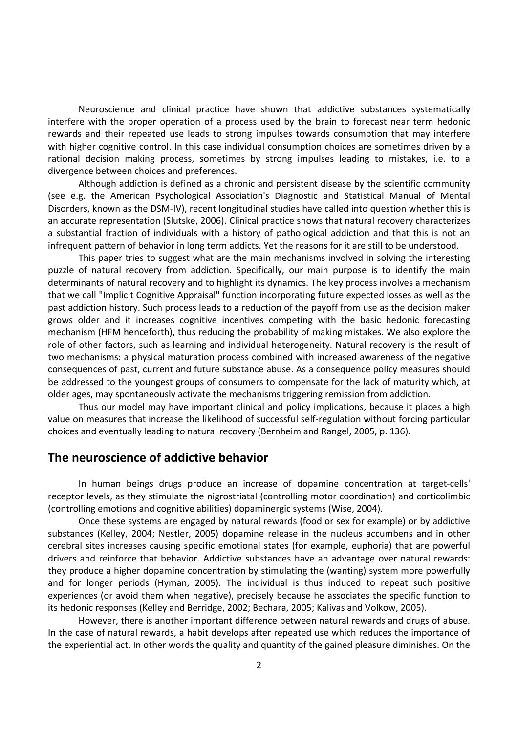Neuroscience and clinical practice have shown that addictive substances systematically interfere with the proper operation of a process used by the brain to forecast near term hedonic rewards and their repeated use leads to strong impulses towards consumption that may interfere with higher cognitive control. In this case individual consumption choices are sometimes driven by a rational decision making process, sometimes by strong impulses leading to mistakes, i.e. to a divergence between choices and preferences.

Although addiction is defined as a chronic and persistent disease by the scientific community (see e.g. the American Psychological Association's Diagnostic and Statistical Manual of Mental Disorders, known as the DSM‐IV), recent longitudinal studies have called into question whether this is an accurate representation (Slutske, 2006). Clinical practice shows that natural recovery characterizes a substantial fraction of individuals with a history of pathological addiction and that this is not an infrequent pattern of behavior in long term addicts. Yet the reasons for it are still to be understood.

This paper tries to suggest what are the main mechanisms involved in solving the interesting puzzle of natural recovery from addiction. Specifically, our main purpose is to identify the main determinants of natural recovery and to highlight its dynamics. The key process involves a mechanism that we call "Implicit Cognitive Appraisal" function incorporating future expected losses as well as the past addiction history. Such process leads to a reduction of the payoff from use as the decision maker grows older and it increases cognitive incentives competing with the basic hedonic forecasting mechanism (HFM henceforth), thus reducing the probability of making mistakes. We also explore the role of other factors, such as learning and individual heterogeneity. Natural recovery is the result of two mechanisms: a physical maturation process combined with increased awareness of the negative consequences of past, current and future substance abuse. As a consequence policy measures should be addressed to the youngest groups of consumers to compensate for the lack of maturity which, at older ages, may spontaneously activate the mechanisms triggering remission from addiction.

Thus our model may have important clinical and policy implications, because it places a high value on measures that increase the likelihood of successful self‐regulation without forcing particular choices and eventually leading to natural recovery (Bernheim and Rangel, 2005, p. 136).

# **The neuroscience of addictive behavior**

In human beings drugs produce an increase of dopamine concentration at target‐cells' receptor levels, as they stimulate the nigrostriatal (controlling motor coordination) and corticolimbic (controlling emotions and cognitive abilities) dopaminergic systems (Wise, 2004).

Once these systems are engaged by natural rewards (food or sex for example) or by addictive substances (Kelley, 2004; Nestler, 2005) dopamine release in the nucleus accumbens and in other cerebral sites increases causing specific emotional states (for example, euphoria) that are powerful drivers and reinforce that behavior. Addictive substances have an advantage over natural rewards: they produce a higher dopamine concentration by stimulating the (wanting) system more powerfully and for longer periods (Hyman, 2005). The individual is thus induced to repeat such positive experiences (or avoid them when negative), precisely because he associates the specific function to its hedonic responses (Kelley and Berridge, 2002; Bechara, 2005; Kalivas and Volkow, 2005).

However, there is another important difference between natural rewards and drugs of abuse. In the case of natural rewards, a habit develops after repeated use which reduces the importance of the experiential act. In other words the quality and quantity of the gained pleasure diminishes. On the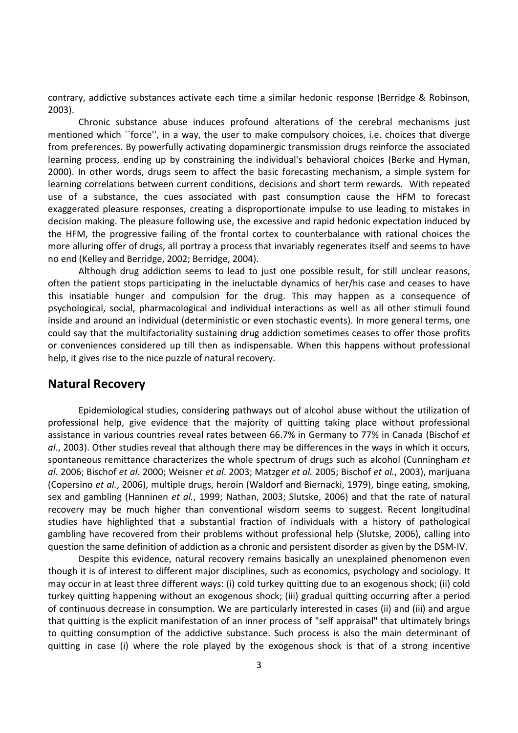contrary, addictive substances activate each time a similar hedonic response (Berridge & Robinson, 2003).

Chronic substance abuse induces profound alterations of the cerebral mechanisms just mentioned which ``force'', in a way, the user to make compulsory choices, i.e. choices that diverge from preferences. By powerfully activating dopaminergic transmission drugs reinforce the associated learning process, ending up by constraining the individual's behavioral choices (Berke and Hyman, 2000). In other words, drugs seem to affect the basic forecasting mechanism, a simple system for learning correlations between current conditions, decisions and short term rewards. With repeated use of a substance, the cues associated with past consumption cause the HFM to forecast exaggerated pleasure responses, creating a disproportionate impulse to use leading to mistakes in decision making. The pleasure following use, the excessive and rapid hedonic expectation induced by the HFM, the progressive failing of the frontal cortex to counterbalance with rational choices the more alluring offer of drugs, all portray a process that invariably regenerates itself and seems to have no end (Kelley and Berridge, 2002; Berridge, 2004).

Although drug addiction seems to lead to just one possible result, for still unclear reasons, often the patient stops participating in the ineluctable dynamics of her/his case and ceases to have this insatiable hunger and compulsion for the drug. This may happen as a consequence of psychological, social, pharmacological and individual interactions as well as all other stimuli found inside and around an individual (deterministic or even stochastic events). In more general terms, one could say that the multifactoriality sustaining drug addiction sometimes ceases to offer those profits or conveniences considered up till then as indispensable. When this happens without professional help, it gives rise to the nice puzzle of natural recovery.

### **Natural Recovery**

Epidemiological studies, considering pathways out of alcohol abuse without the utilization of professional help, give evidence that the majority of quitting taking place without professional assistance in various countries reveal rates between 66.7% in Germany to 77% in Canada (Bischof *et al*., 2003). Other studies reveal that although there may be differences in the ways in which it occurs, spontaneous remittance characterizes the whole spectrum of drugs such as alcohol (Cunningham *et al*. 2006; Bischof *et al*. 2000; Weisner *et al*. 2003; Matzger *et al.* 2005; Bischof *et al.*, 2003), marijuana (Copersino *et al.*, 2006), multiple drugs, heroin (Waldorf and Biernacki, 1979), binge eating, smoking, sex and gambling (Hanninen *et al.*, 1999; Nathan, 2003; Slutske, 2006) and that the rate of natural recovery may be much higher than conventional wisdom seems to suggest. Recent longitudinal studies have highlighted that a substantial fraction of individuals with a history of pathological gambling have recovered from their problems without professional help (Slutske, 2006), calling into question the same definition of addiction as a chronic and persistent disorder as given by the DSM‐IV.

Despite this evidence, natural recovery remains basically an unexplained phenomenon even though it is of interest to different major disciplines, such as economics, psychology and sociology. It may occur in at least three different ways: (i) cold turkey quitting due to an exogenous shock; (ii) cold turkey quitting happening without an exogenous shock; (iii) gradual quitting occurring after a period of continuous decrease in consumption. We are particularly interested in cases (ii) and (iii) and argue that quitting is the explicit manifestation of an inner process of "self appraisal" that ultimately brings to quitting consumption of the addictive substance. Such process is also the main determinant of quitting in case (i) where the role played by the exogenous shock is that of a strong incentive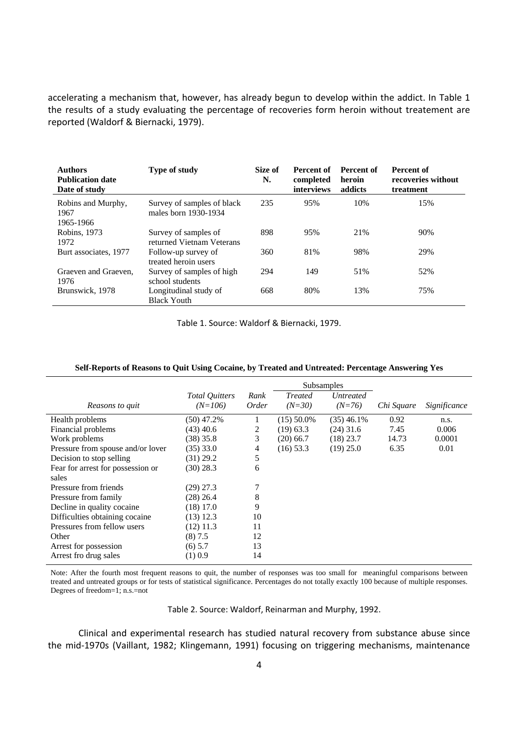accelerating a mechanism that, however, has already begun to develop within the addict. In Table 1 the results of a study evaluating the percentage of recoveries form heroin without treatement are reported (Waldorf & Biernacki, 1979).

| <b>Authors</b><br><b>Publication date</b><br>Date of study | <b>Type of study</b>                               | Size of<br>N. | Percent of<br>completed<br>interviews | Percent of<br>heroin<br>addicts | Percent of<br>recoveries without<br>treatment |
|------------------------------------------------------------|----------------------------------------------------|---------------|---------------------------------------|---------------------------------|-----------------------------------------------|
| Robins and Murphy,<br>1967<br>1965-1966                    | Survey of samples of black<br>males born 1930-1934 | 235           | 95%                                   | 10%                             | 15%                                           |
| Robins, 1973<br>1972                                       | Survey of samples of<br>returned Vietnam Veterans  | 898           | 95%                                   | 21%                             | 90%                                           |
| Burt associates, 1977                                      | Follow-up survey of<br>treated heroin users        | 360           | 81%                                   | 98%                             | 29%                                           |
| Graeven and Graeven,<br>1976                               | Survey of samples of high<br>school students       | 294           | 149                                   | 51%                             | 52%                                           |
| Brunswick, 1978                                            | Longitudinal study of<br><b>Black Youth</b>        | 668           | 80%                                   | 13%                             | 75%                                           |

Table 1. Source: Waldorf & Biernacki, 1979.

|                                   |                       | <b>Subsamples</b> |                |                  |            |              |
|-----------------------------------|-----------------------|-------------------|----------------|------------------|------------|--------------|
|                                   | <b>Total Quitters</b> | Rank              | <b>Treated</b> | <i>Untreated</i> |            |              |
| Reasons to quit                   | $(N=106)$             | Order             | $(N=30)$       | $(N=76)$         | Chi Square | Significance |
| Health problems                   | (50) 47.2%            |                   | $(15)$ 50.0%   | $(35)$ 46.1%     | 0.92       | n.s.         |
| Financial problems                | (43) 40.6             | 2                 | $(19)$ 63.3    | $(24)$ 31.6      | 7.45       | 0.006        |
| Work problems                     | (38) 35.8             | 3                 | $(20)$ 66.7    | $(18)$ 23.7      | 14.73      | 0.0001       |
| Pressure from spouse and/or lover | (35) 33.0             | 4                 | $(16)$ 53.3    | $(19)$ 25.0      | 6.35       | 0.01         |
| Decision to stop selling          | (31) 29.2             | 5                 |                |                  |            |              |
| Fear for arrest for possession or | (30) 28.3             | 6                 |                |                  |            |              |
| sales                             |                       |                   |                |                  |            |              |
| Pressure from friends             | (29) 27.3             |                   |                |                  |            |              |
| Pressure from family              | (28) 26.4             | 8                 |                |                  |            |              |
| Decline in quality cocaine.       | $(18)$ 17.0           | 9                 |                |                  |            |              |
| Difficulties obtaining cocaine.   | $(13)$ 12.3           | 10                |                |                  |            |              |
| Pressures from fellow users       | $(12)$ 11.3           | 11                |                |                  |            |              |
| Other                             | (8) 7.5               | 12                |                |                  |            |              |
| Arrest for possession             | $(6)$ 5.7             | 13                |                |                  |            |              |
| Arrest fro drug sales             | $(1)$ 0.9             | 14                |                |                  |            |              |

#### **Self-Reports of Reasons to Quit Using Cocaine, by Treated and Untreated: Percentage Answering Yes**

Note: After the fourth most frequent reasons to quit, the number of responses was too small for meaningful comparisons between treated and untreated groups or for tests of statistical significance. Percentages do not totally exactly 100 because of multiple responses. Degrees of freedom=1; n.s.=not

Table 2. Source: Waldorf, Reinarman and Murphy, 1992.

Clinical and experimental research has studied natural recovery from substance abuse since the mid‐1970s (Vaillant, 1982; Klingemann, 1991) focusing on triggering mechanisms, maintenance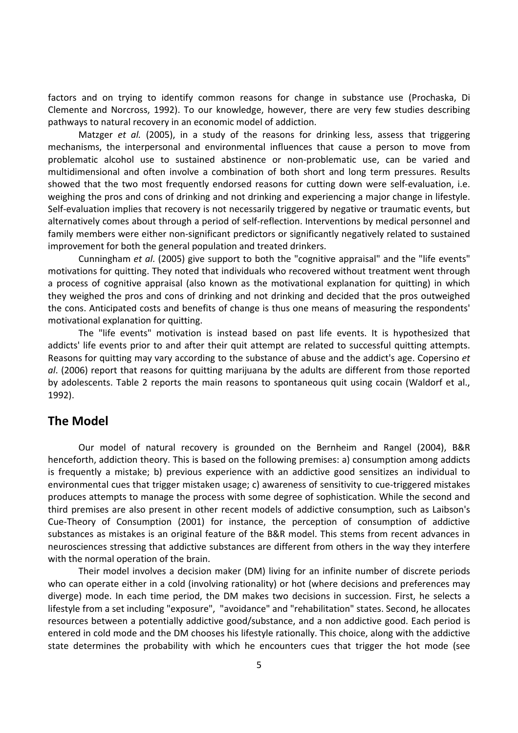factors and on trying to identify common reasons for change in substance use (Prochaska, Di Clemente and Norcross, 1992). To our knowledge, however, there are very few studies describing pathways to natural recovery in an economic model of addiction.

Matzger *et al.* (2005), in a study of the reasons for drinking less, assess that triggering mechanisms, the interpersonal and environmental influences that cause a person to move from problematic alcohol use to sustained abstinence or non‐problematic use, can be varied and multidimensional and often involve a combination of both short and long term pressures. Results showed that the two most frequently endorsed reasons for cutting down were self-evaluation, i.e. weighing the pros and cons of drinking and not drinking and experiencing a major change in lifestyle. Self-evaluation implies that recovery is not necessarily triggered by negative or traumatic events, but alternatively comes about through a period of self‐reflection. Interventions by medical personnel and family members were either non-significant predictors or significantly negatively related to sustained improvement for both the general population and treated drinkers.

Cunningham *et al*. (2005) give support to both the "cognitive appraisal" and the "life events" motivations for quitting. They noted that individuals who recovered without treatment went through a process of cognitive appraisal (also known as the motivational explanation for quitting) in which they weighed the pros and cons of drinking and not drinking and decided that the pros outweighed the cons. Anticipated costs and benefits of change is thus one means of measuring the respondents' motivational explanation for quitting.

The "life events" motivation is instead based on past life events. It is hypothesized that addicts' life events prior to and after their quit attempt are related to successful quitting attempts. Reasons for quitting may vary according to the substance of abuse and the addict's age. Copersino *et al*. (2006) report that reasons for quitting marijuana by the adults are different from those reported by adolescents. Table 2 reports the main reasons to spontaneous quit using cocain (Waldorf et al., 1992).

# **The Model**

Our model of natural recovery is grounded on the Bernheim and Rangel (2004), B&R henceforth, addiction theory. This is based on the following premises: a) consumption among addicts is frequently a mistake; b) previous experience with an addictive good sensitizes an individual to environmental cues that trigger mistaken usage; c) awareness of sensitivity to cue‐triggered mistakes produces attempts to manage the process with some degree of sophistication. While the second and third premises are also present in other recent models of addictive consumption, such as Laibson's Cue‐Theory of Consumption (2001) for instance, the perception of consumption of addictive substances as mistakes is an original feature of the B&R model. This stems from recent advances in neurosciences stressing that addictive substances are different from others in the way they interfere with the normal operation of the brain.

Their model involves a decision maker (DM) living for an infinite number of discrete periods who can operate either in a cold (involving rationality) or hot (where decisions and preferences may diverge) mode. In each time period, the DM makes two decisions in succession. First, he selects a lifestyle from a set including "exposure", "avoidance" and "rehabilitation" states. Second, he allocates resources between a potentially addictive good/substance, and a non addictive good. Each period is entered in cold mode and the DM chooses his lifestyle rationally. This choice, along with the addictive state determines the probability with which he encounters cues that trigger the hot mode (see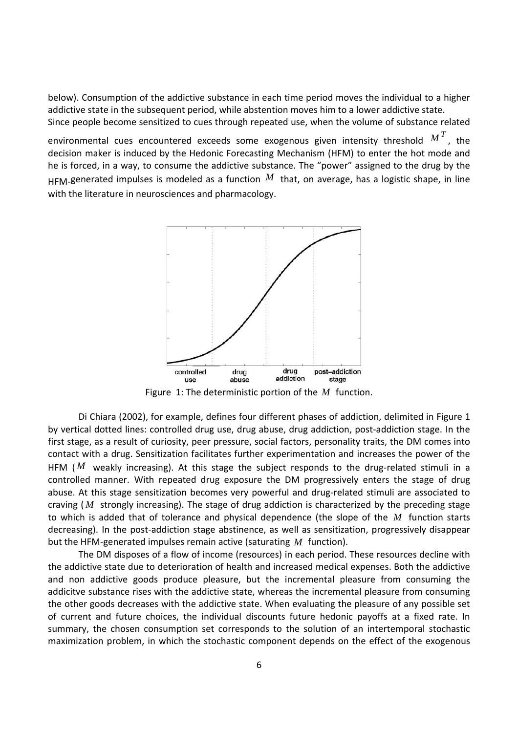below). Consumption of the addictive substance in each time period moves the individual to a higher addictive state in the subsequent period, while abstention moves him to a lower addictive state. Since people become sensitized to cues through repeated use, when the volume of substance related

environmental cues encountered exceeds some exogenous given intensity threshold  $M^T$ , the decision maker is induced by the Hedonic Forecasting Mechanism (HFM) to enter the hot mode and he is forced, in a way, to consume the addictive substance. The "power" assigned to the drug by the  $H_{FMA}$  generated impulses is modeled as a function  $M$  that, on average, has a logistic shape, in line with the literature in neurosciences and pharmacology.



Figure 1: The deterministic portion of the *M* function.

Di Chiara (2002), for example, defines four different phases of addiction, delimited in Figure 1 by vertical dotted lines: controlled drug use, drug abuse, drug addiction, post‐addiction stage. In the first stage, as a result of curiosity, peer pressure, social factors, personality traits, the DM comes into contact with a drug. Sensitization facilitates further experimentation and increases the power of the HFM  $/M$  weakly increasing). At this stage the subject responds to the drug-related stimuli in a controlled manner. With repeated drug exposure the DM progressively enters the stage of drug abuse. At this stage sensitization becomes very powerful and drug-related stimuli are associated to craving ( *M* strongly increasing). The stage of drug addiction is characterized by the preceding stage to which is added that of tolerance and physical dependence (the slope of the *M* function starts decreasing). In the post‐addiction stage abstinence, as well as sensitization, progressively disappear but the HFM‐generated impulses remain active (saturating *M* function).

The DM disposes of a flow of income (resources) in each period. These resources decline with the addictive state due to deterioration of health and increased medical expenses. Both the addictive and non addictive goods produce pleasure, but the incremental pleasure from consuming the addicitve substance rises with the addictive state, whereas the incremental pleasure from consuming the other goods decreases with the addictive state. When evaluating the pleasure of any possible set of current and future choices, the individual discounts future hedonic payoffs at a fixed rate. In summary, the chosen consumption set corresponds to the solution of an intertemporal stochastic maximization problem, in which the stochastic component depends on the effect of the exogenous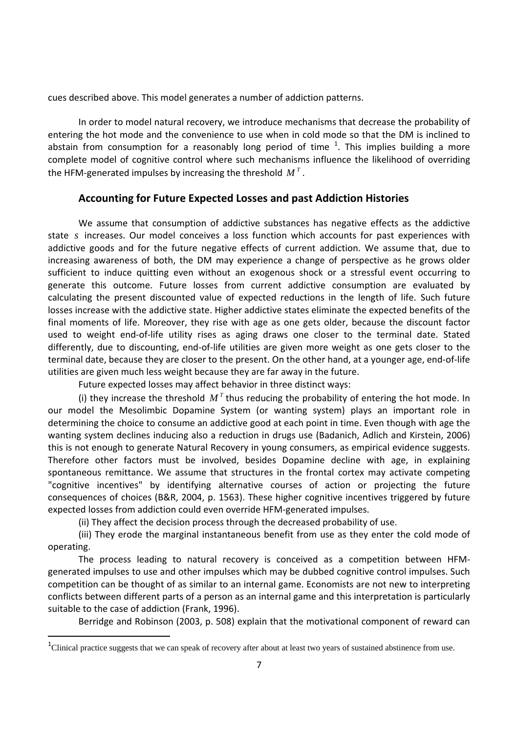cues described above. This model generates a number of addiction patterns.

In order to model natural recovery, we introduce mechanisms that decrease the probability of entering the hot mode and the convenience to use when in cold mode so that the DM is inclined to abstain from consumption for a reasonably long period of time  $^1$ . This implies building a more complete model of cognitive control where such mechanisms influence the likelihood of overriding the HFM-generated impulses by increasing the threshold  $M<sup>T</sup>$ .

# **Accounting for Future Expected Losses and past Addiction Histories**

We assume that consumption of addictive substances has negative effects as the addictive state *s* increases. Our model conceives a loss function which accounts for past experiences with addictive goods and for the future negative effects of current addiction. We assume that, due to increasing awareness of both, the DM may experience a change of perspective as he grows older sufficient to induce quitting even without an exogenous shock or a stressful event occurring to generate this outcome. Future losses from current addictive consumption are evaluated by calculating the present discounted value of expected reductions in the length of life. Such future losses increase with the addictive state. Higher addictive states eliminate the expected benefits of the final moments of life. Moreover, they rise with age as one gets older, because the discount factor used to weight end-of-life utility rises as aging draws one closer to the terminal date. Stated differently, due to discounting, end‐of‐life utilities are given more weight as one gets closer to the terminal date, because they are closer to the present. On the other hand, at a younger age, end‐of‐life utilities are given much less weight because they are far away in the future.

Future expected losses may affect behavior in three distinct ways:

(i) they increase the threshold  $M<sup>T</sup>$  thus reducing the probability of entering the hot mode. In our model the Mesolimbic Dopamine System (or wanting system) plays an important role in determining the choice to consume an addictive good at each point in time. Even though with age the wanting system declines inducing also a reduction in drugs use (Badanich, Adlich and Kirstein, 2006) this is not enough to generate Natural Recovery in young consumers, as empirical evidence suggests. Therefore other factors must be involved, besides Dopamine decline with age, in explaining spontaneous remittance. We assume that structures in the frontal cortex may activate competing "cognitive incentives" by identifying alternative courses of action or projecting the future consequences of choices (B&R, 2004, p. 1563). These higher cognitive incentives triggered by future expected losses from addiction could even override HFM‐generated impulses.

(ii) They affect the decision process through the decreased probability of use.

(iii) They erode the marginal instantaneous benefit from use as they enter the cold mode of operating.

The process leading to natural recovery is conceived as a competition between HFM‐ generated impulses to use and other impulses which may be dubbed cognitive control impulses. Such competition can be thought of as similar to an internal game. Economists are not new to interpreting conflicts between different parts of a person as an internal game and this interpretation is particularly suitable to the case of addiction (Frank, 1996).

Berridge and Robinson (2003, p. 508) explain that the motivational component of reward can

<sup>&</sup>lt;sup>1</sup>Clinical practice suggests that we can speak of recovery after about at least two years of sustained abstinence from use.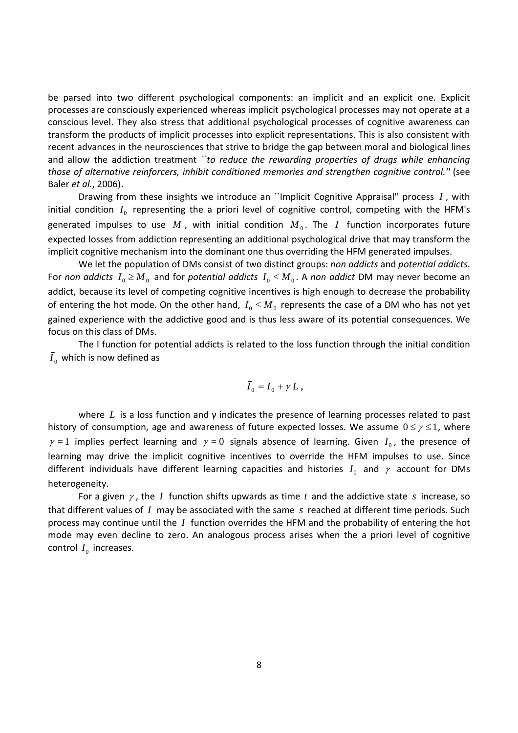be parsed into two different psychological components: an implicit and an explicit one. Explicit processes are consciously experienced whereas implicit psychological processes may not operate at a conscious level. They also stress that additional psychological processes of cognitive awareness can transform the products of implicit processes into explicit representations. This is also consistent with recent advances in the neurosciences that strive to bridge the gap between moral and biological lines and allow the addiction treatment *``to reduce the rewarding properties of drugs while enhancing those of alternative reinforcers, inhibit conditioned memories and strengthen cognitive control.''* (see Baler *et al.*, 2006).

Drawing from these insights we introduce an ``Implicit Cognitive Appraisal'' process *I* , with initial condition  $I_0$  representing the a priori level of cognitive control, competing with the HFM's generated impulses to use  $M$ , with initial condition  $M_0$ . The  $I$  function incorporates future expected losses from addiction representing an additional psychological drive that may transform the implicit cognitive mechanism into the dominant one thus overriding the HFM generated impulses.

We let the population of DMs consist of two distinct groups: *non addicts* and *potential addicts*. For *non* addicts  $I_0 \geq M_0$  and for *potential addicts*  $I_0 < M_0$ . A *non addict* DM may never become an addict, because its level of competing cognitive incentives is high enough to decrease the probability of entering the hot mode. On the other hand,  $I_0 < M_0$  represents the case of a DM who has not yet gained experience with the addictive good and is thus less aware of its potential consequences. We focus on this class of DMs.

The I function for potential addicts is related to the loss function through the initial condition  $\bar{I}_0$  which is now defined as

$$
\bar{I}_0 = I_0 + \gamma L,
$$

where *L* is a loss function and γ indicates the presence of learning processes related to past history of consumption, age and awareness of future expected losses. We assume  $0 \le \gamma \le 1$ , where  $\gamma = 1$  implies perfect learning and  $\gamma = 0$  signals absence of learning. Given  $I_0$ , the presence of learning may drive the implicit cognitive incentives to override the HFM impulses to use. Since different individuals have different learning capacities and histories  $I_0$  and  $\gamma$  account for DMs heterogeneity.

For a given <sup>γ</sup> , the *I* function shifts upwards as time *t* and the addictive state *s* increase, so that different values of *I* may be associated with the same *s* reached at different time periods. Such process may continue until the *I* function overrides the HFM and the probability of entering the hot mode may even decline to zero. An analogous process arises when the a priori level of cognitive control  $I_0$  increases.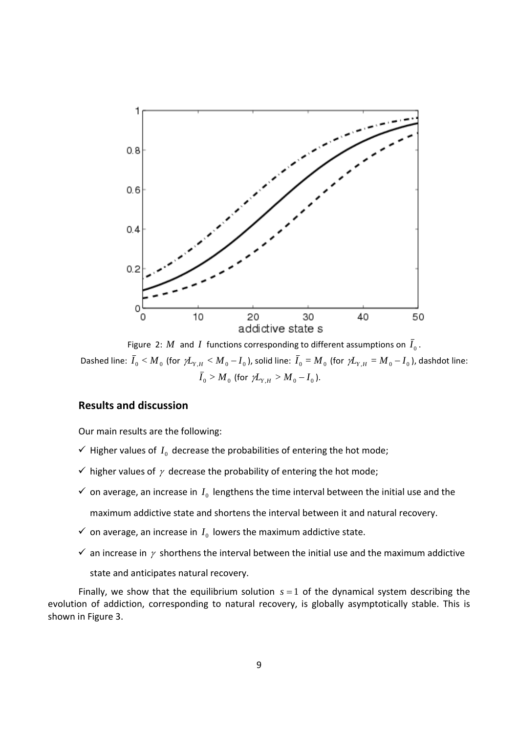

Figure 2: *M* and *I* functions corresponding to different assumptions on  $\overline{I}_0$ . Dashed line:  $\bar{I}_0 < M_0$  (for  $\gamma\bar{L}_{Y,H} < M_0 - I_0$ ), solid line:  $\bar{I}_0 = M_0$  (for  $\gamma\bar{L}_{Y,H} = M_0 - I_0$ ), dashdot line:  $\overline{I}_0 > M_0$  (for  $\gamma L_{Y,H} > M_0 - I_0$ ).

#### **Results and discussion**

Our main results are the following:

- $\checkmark$  Higher values of  $I_0$  decrease the probabilities of entering the hot mode;
- $\checkmark$  higher values of  $\gamma$  decrease the probability of entering the hot mode;
- $\checkmark$  on average, an increase in  $I_0$  lengthens the time interval between the initial use and the maximum addictive state and shortens the interval between it and natural recovery.
- $\checkmark$  on average, an increase in  $I_0$  lowers the maximum addictive state.
- $\checkmark$  an increase in  $\gamma$  shorthens the interval between the initial use and the maximum addictive state and anticipates natural recovery.

Finally, we show that the equilibrium solution  $s = 1$  of the dynamical system describing the evolution of addiction, corresponding to natural recovery, is globally asymptotically stable. This is shown in Figure 3.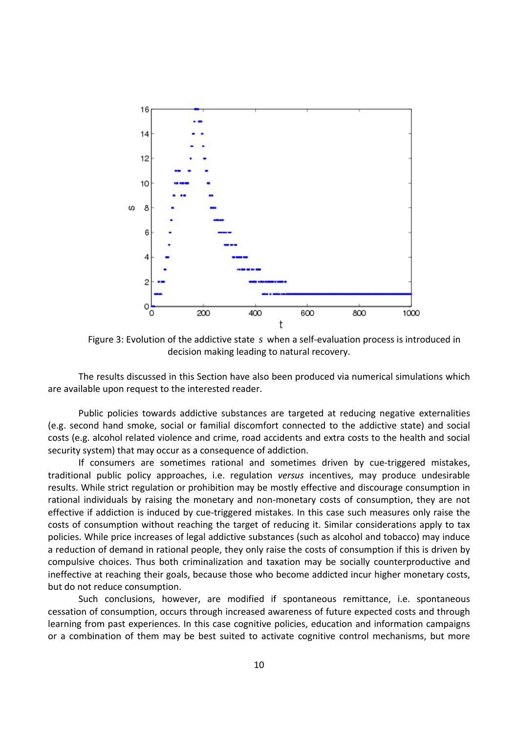

Figure 3: Evolution of the addictive state *s* when a self-evaluation process is introduced in decision making leading to natural recovery.

The results discussed in this Section have also been produced via numerical simulations which are available upon request to the interested reader.

Public policies towards addictive substances are targeted at reducing negative externalities (e.g. second hand smoke, social or familial discomfort connected to the addictive state) and social costs (e.g. alcohol related violence and crime, road accidents and extra costs to the health and social security system) that may occur as a consequence of addiction.

If consumers are sometimes rational and sometimes driven by cue‐triggered mistakes, traditional public policy approaches, i.e. regulation *versus* incentives, may produce undesirable results. While strict regulation or prohibition may be mostly effective and discourage consumption in rational individuals by raising the monetary and non-monetary costs of consumption, they are not effective if addiction is induced by cue-triggered mistakes. In this case such measures only raise the costs of consumption without reaching the target of reducing it. Similar considerations apply to tax policies. While price increases of legal addictive substances (such as alcohol and tobacco) may induce a reduction of demand in rational people, they only raise the costs of consumption if this is driven by compulsive choices. Thus both criminalization and taxation may be socially counterproductive and ineffective at reaching their goals, because those who become addicted incur higher monetary costs, but do not reduce consumption.

Such conclusions, however, are modified if spontaneous remittance, i.e. spontaneous cessation of consumption, occurs through increased awareness of future expected costs and through learning from past experiences. In this case cognitive policies, education and information campaigns or a combination of them may be best suited to activate cognitive control mechanisms, but more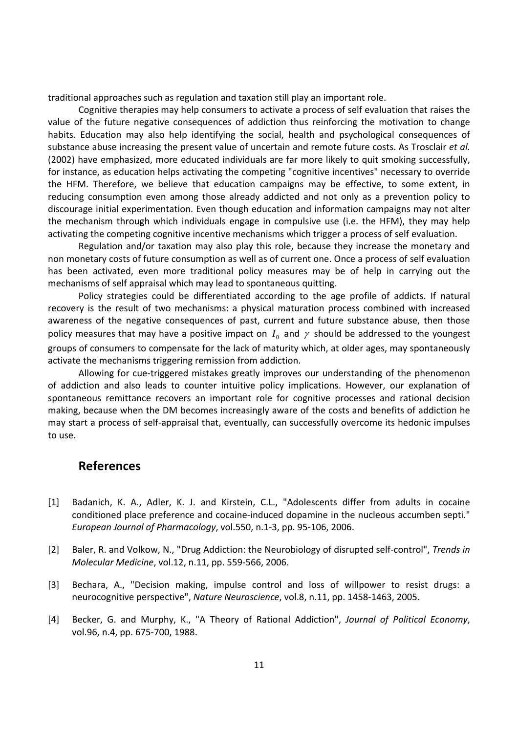traditional approaches such as regulation and taxation still play an important role.

Cognitive therapies may help consumers to activate a process of self evaluation that raises the value of the future negative consequences of addiction thus reinforcing the motivation to change habits. Education may also help identifying the social, health and psychological consequences of substance abuse increasing the present value of uncertain and remote future costs. As Trosclair *et al.* (2002) have emphasized, more educated individuals are far more likely to quit smoking successfully, for instance, as education helps activating the competing "cognitive incentives" necessary to override the HFM. Therefore, we believe that education campaigns may be effective, to some extent, in reducing consumption even among those already addicted and not only as a prevention policy to discourage initial experimentation. Even though education and information campaigns may not alter the mechanism through which individuals engage in compulsive use (i.e. the HFM), they may help activating the competing cognitive incentive mechanisms which trigger a process of self evaluation.

Regulation and/or taxation may also play this role, because they increase the monetary and non monetary costs of future consumption as well as of current one. Once a process of self evaluation has been activated, even more traditional policy measures may be of help in carrying out the mechanisms of self appraisal which may lead to spontaneous quitting.

Policy strategies could be differentiated according to the age profile of addicts. If natural recovery is the result of two mechanisms: a physical maturation process combined with increased awareness of the negative consequences of past, current and future substance abuse, then those policy measures that may have a positive impact on  $I_0$  and  $\gamma$  should be addressed to the youngest groups of consumers to compensate for the lack of maturity which, at older ages, may spontaneously activate the mechanisms triggering remission from addiction.

Allowing for cue‐triggered mistakes greatly improves our understanding of the phenomenon of addiction and also leads to counter intuitive policy implications. However, our explanation of spontaneous remittance recovers an important role for cognitive processes and rational decision making, because when the DM becomes increasingly aware of the costs and benefits of addiction he may start a process of self‐appraisal that, eventually, can successfully overcome its hedonic impulses to use.

# **References**

- [1] Badanich, K. A., Adler, K. J. and Kirstein, C.L., "Adolescents differ from adults in cocaine conditioned place preference and cocaine‐induced dopamine in the nucleous accumben septi." *European Journal of Pharmacology*, vol.550, n.1‐3, pp. 95‐106, 2006.
- [2] Baler, R. and Volkow, N., "Drug Addiction: the Neurobiology of disrupted self‐control", *Trends in Molecular Medicine*, vol.12, n.11, pp. 559‐566, 2006.
- [3] Bechara, A., "Decision making, impulse control and loss of willpower to resist drugs: a neurocognitive perspective", *Nature Neuroscience*, vol.8, n.11, pp. 1458‐1463, 2005.
- [4] Becker, G. and Murphy, K., "A Theory of Rational Addiction", *Journal of Political Economy*, vol.96, n.4, pp. 675‐700, 1988.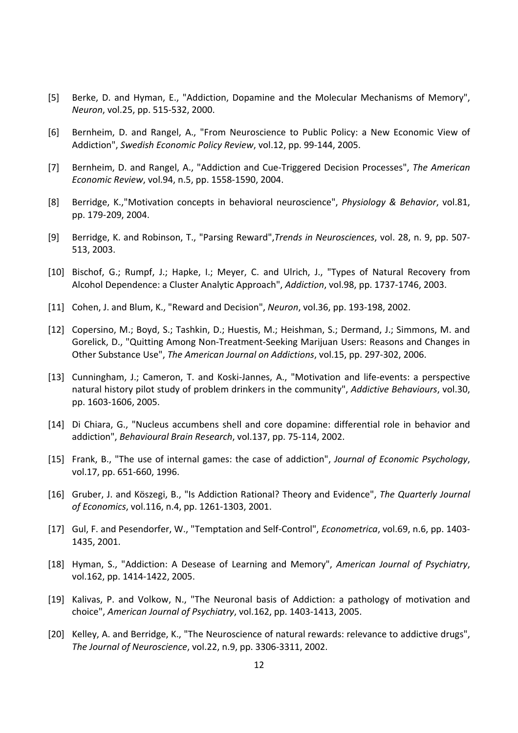- [5] Berke, D. and Hyman, E., "Addiction, Dopamine and the Molecular Mechanisms of Memory", *Neuron*, vol.25, pp. 515‐532, 2000.
- [6] Bernheim, D. and Rangel, A., "From Neuroscience to Public Policy: a New Economic View of Addiction", *Swedish Economic Policy Review*, vol.12, pp. 99‐144, 2005.
- [7] Bernheim, D. and Rangel, A., "Addiction and Cue‐Triggered Decision Processes", *The American Economic Review*, vol.94, n.5, pp. 1558‐1590, 2004.
- [8] Berridge, K.,"Motivation concepts in behavioral neuroscience", *Physiology & Behavior*, vol.81, pp. 179‐209, 2004.
- [9] Berridge, K. and Robinson, T., "Parsing Reward",*Trends in Neurosciences*, vol. 28, n. 9, pp. 507‐ 513, 2003.
- [10] Bischof, G.; Rumpf, J.; Hapke, I.; Meyer, C. and Ulrich, J., "Types of Natural Recovery from Alcohol Dependence: a Cluster Analytic Approach", *Addiction*, vol.98, pp. 1737‐1746, 2003.
- [11] Cohen, J. and Blum, K., "Reward and Decision", *Neuron*, vol.36, pp. 193‐198, 2002.
- [12] Copersino, M.; Boyd, S.; Tashkin, D.; Huestis, M.; Heishman, S.; Dermand, J.; Simmons, M. and Gorelick, D., "Quitting Among Non‐Treatment‐Seeking Marijuan Users: Reasons and Changes in Other Substance Use", *The American Journal on Addictions*, vol.15, pp. 297‐302, 2006.
- [13] Cunningham, J.; Cameron, T. and Koski-Jannes, A., "Motivation and life-events: a perspective natural history pilot study of problem drinkers in the community", *Addictive Behaviours*, vol.30, pp. 1603‐1606, 2005.
- [14] Di Chiara, G., "Nucleus accumbens shell and core dopamine: differential role in behavior and addiction", *Behavioural Brain Research*, vol.137, pp. 75‐114, 2002.
- [15] Frank, B., "The use of internal games: the case of addiction", *Journal of Economic Psychology*, vol.17, pp. 651‐660, 1996.
- [16] Gruber, J. and Köszegi, B., "Is Addiction Rational? Theory and Evidence", *The Quarterly Journal of Economics*, vol.116, n.4, pp. 1261‐1303, 2001.
- [17] Gul, F. and Pesendorfer, W., "Temptation and Self‐Control", *Econometrica*, vol.69, n.6, pp. 1403‐ 1435, 2001.
- [18] Hyman, S., "Addiction: A Desease of Learning and Memory", *American Journal of Psychiatry*, vol.162, pp. 1414‐1422, 2005.
- [19] Kalivas, P. and Volkow, N., "The Neuronal basis of Addiction: a pathology of motivation and choice", *American Journal of Psychiatry*, vol.162, pp. 1403‐1413, 2005.
- [20] Kelley, A. and Berridge, K., "The Neuroscience of natural rewards: relevance to addictive drugs", *The Journal of Neuroscience*, vol.22, n.9, pp. 3306‐3311, 2002.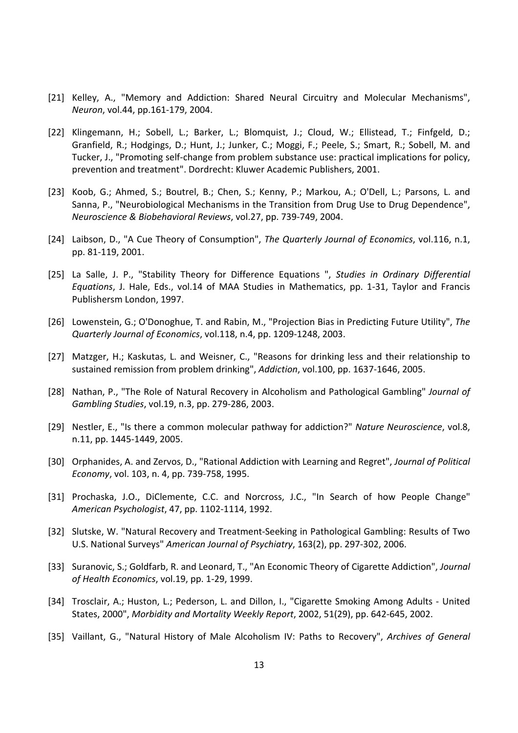- [21] Kelley, A., "Memory and Addiction: Shared Neural Circuitry and Molecular Mechanisms", *Neuron*, vol.44, pp.161‐179, 2004.
- [22] Klingemann, H.; Sobell, L.; Barker, L.; Blomquist, J.; Cloud, W.; Ellistead, T.; Finfgeld, D.; Granfield, R.; Hodgings, D.; Hunt, J.; Junker, C.; Moggi, F.; Peele, S.; Smart, R.; Sobell, M. and Tucker, J., "Promoting self‐change from problem substance use: practical implications for policy, prevention and treatment". Dordrecht: Kluwer Academic Publishers, 2001.
- [23] Koob, G.; Ahmed, S.; Boutrel, B.; Chen, S.; Kenny, P.; Markou, A.; O'Dell, L.; Parsons, L. and Sanna, P., "Neurobiological Mechanisms in the Transition from Drug Use to Drug Dependence", *Neuroscience & Biobehavioral Reviews*, vol.27, pp. 739‐749, 2004.
- [24] Laibson, D., "A Cue Theory of Consumption", *The Quarterly Journal of Economics*, vol.116, n.1, pp. 81‐119, 2001.
- [25] La Salle, J. P., "Stability Theory for Difference Equations ", *Studies in Ordinary Differential Equations*, J. Hale, Eds., vol.14 of MAA Studies in Mathematics, pp. 1‐31, Taylor and Francis Publishersm London, 1997.
- [26] Lowenstein, G.; O'Donoghue, T. and Rabin, M., "Projection Bias in Predicting Future Utility", *The Quarterly Journal of Economics*, vol.118, n.4, pp. 1209‐1248, 2003.
- [27] Matzger, H.; Kaskutas, L. and Weisner, C., "Reasons for drinking less and their relationship to sustained remission from problem drinking", *Addiction*, vol.100, pp. 1637‐1646, 2005.
- [28] Nathan, P., "The Role of Natural Recovery in Alcoholism and Pathological Gambling" *Journal of Gambling Studies*, vol.19, n.3, pp. 279‐286, 2003.
- [29] Nestler, E., "Is there a common molecular pathway for addiction?" *Nature Neuroscience*, vol.8, n.11, pp. 1445‐1449, 2005.
- [30] Orphanides, A. and Zervos, D., "Rational Addiction with Learning and Regret", *Journal of Political Economy*, vol. 103, n. 4, pp. 739‐758, 1995.
- [31] Prochaska, J.O., DiClemente, C.C. and Norcross, J.C., "In Search of how People Change" *American Psychologist*, 47, pp. 1102‐1114, 1992.
- [32] Slutske, W. "Natural Recovery and Treatment‐Seeking in Pathological Gambling: Results of Two U.S. National Surveys" *American Journal of Psychiatry*, 163(2), pp. 297‐302, 2006.
- [33] Suranovic, S.; Goldfarb, R. and Leonard, T., "An Economic Theory of Cigarette Addiction", *Journal of Health Economics*, vol.19, pp. 1‐29, 1999.
- [34] Trosclair, A.; Huston, L.; Pederson, L. and Dillon, I., "Cigarette Smoking Among Adults ‐ United States, 2000", *Morbidity and Mortality Weekly Report*, 2002, 51(29), pp. 642‐645, 2002.
- [35] Vaillant, G., "Natural History of Male Alcoholism IV: Paths to Recovery", *Archives of General*